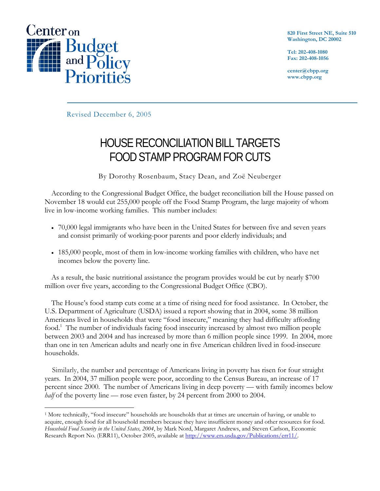

 $\overline{a}$ 

**820 First Street NE, Suite 510 Washington, DC 20002** 

**Tel: 202-408-1080 Fax: 202-408-1056** 

**center@cbpp.org www.cbpp.org** 

Revised December 6, 2005

# HOUSE RECONCILIATION BILL TARGETS FOOD STAMP PROGRAM FOR CUTS

By Dorothy Rosenbaum, Stacy Dean, and Zoë Neuberger

According to the Congressional Budget Office, the budget reconciliation bill the House passed on November 18 would cut 255,000 people off the Food Stamp Program, the large majority of whom live in low-income working families. This number includes:

- 70,000 legal immigrants who have been in the United States for between five and seven years and consist primarily of working-poor parents and poor elderly individuals; and
- 185,000 people, most of them in low-income working families with children, who have net incomes below the poverty line.

As a result, the basic nutritional assistance the program provides would be cut by nearly \$700 million over five years, according to the Congressional Budget Office (CBO).

The House's food stamp cuts come at a time of rising need for food assistance. In October, the U.S. Department of Agriculture (USDA) issued a report showing that in 2004, some 38 million Americans lived in households that were "food insecure," meaning they had difficulty affording food.<sup>1</sup> The number of individuals facing food insecurity increased by almost two million people between 2003 and 2004 and has increased by more than 6 million people since 1999. In 2004, more than one in ten American adults and nearly one in five American children lived in food-insecure households.

 Similarly, the number and percentage of Americans living in poverty has risen for four straight years. In 2004, 37 million people were poor, according to the Census Bureau, an increase of 17 percent since 2000. The number of Americans living in deep poverty — with family incomes below *half* of the poverty line — rose even faster, by 24 percent from 2000 to 2004.

<sup>&</sup>lt;sup>1</sup> More technically, "food insecure" households are households that at times are uncertain of having, or unable to acquire, enough food for all household members because they have insufficient money and other resources for food. *Household Food Security in the United States, 2004*, by Mark Nord, Margaret Andrews, and Steven Carlson, Economic Research Report No. (ERR11), October 2005, available at http://www.ers.usda.gov/Publications/err11/.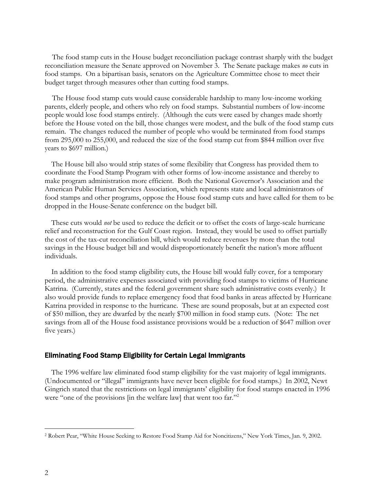The food stamp cuts in the House budget reconciliation package contrast sharply with the budget reconciliation measure the Senate approved on November 3. The Senate package makes *no* cuts in food stamps. On a bipartisan basis, senators on the Agriculture Committee chose to meet their budget target through measures other than cutting food stamps.

 The House food stamp cuts would cause considerable hardship to many low-income working parents, elderly people, and others who rely on food stamps. Substantial numbers of low-income people would lose food stamps entirely. (Although the cuts were eased by changes made shortly before the House voted on the bill, those changes were modest, and the bulk of the food stamp cuts remain. The changes reduced the number of people who would be terminated from food stamps from 295,000 to 255,000, and reduced the size of the food stamp cut from \$844 million over five years to \$697 million.)

The House bill also would strip states of some flexibility that Congress has provided them to coordinate the Food Stamp Program with other forms of low-income assistance and thereby to make program administration more efficient. Both the National Governor's Association and the American Public Human Services Association, which represents state and local administrators of food stamps and other programs, oppose the House food stamp cuts and have called for them to be dropped in the House-Senate conference on the budget bill.

These cuts would *not* be used to reduce the deficit or to offset the costs of large-scale hurricane relief and reconstruction for the Gulf Coast region. Instead, they would be used to offset partially the cost of the tax-cut reconciliation bill, which would reduce revenues by more than the total savings in the House budget bill and would disproportionately benefit the nation's more affluent individuals.

In addition to the food stamp eligibility cuts, the House bill would fully cover, for a temporary period, the administrative expenses associated with providing food stamps to victims of Hurricane Katrina. (Currently, states and the federal government share such administrative costs evenly.) It also would provide funds to replace emergency food that food banks in areas affected by Hurricane Katrina provided in response to the hurricane. These are sound proposals, but at an expected cost of \$50 million, they are dwarfed by the nearly \$700 million in food stamp cuts. (Note: The net savings from all of the House food assistance provisions would be a reduction of \$647 million over five years.)

#### Eliminating Food Stamp Eligibility for Certain Legal Immigrants

The 1996 welfare law eliminated food stamp eligibility for the vast majority of legal immigrants. (Undocumented or "illegal" immigrants have never been eligible for food stamps.) In 2002, Newt Gingrich stated that the restrictions on legal immigrants' eligibility for food stamps enacted in 1996 were "one of the provisions [in the welfare law] that went too far."<sup>2</sup>

<sup>2</sup> Robert Pear, "White House Seeking to Restore Food Stamp Aid for Noncitizens," New York Times, Jan. 9, 2002.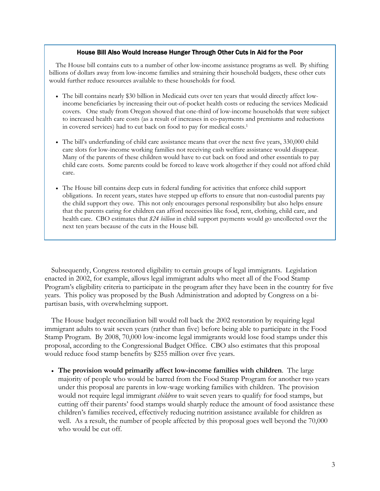#### House Bill Also Would Increase Hunger Through Other Cuts in Aid for the Poor

The House bill contains cuts to a number of other low-income assistance programs as well. By shifting billions of dollars away from low-income families and straining their household budgets, these other cuts would further reduce resources available to these households for food.

- The bill contains nearly \$30 billion in Medicaid cuts over ten years that would directly affect lowincome beneficiaries by increasing their out-of-pocket health costs or reducing the services Medicaid covers. One study from Oregon showed that one-third of low-income households that were subject to increased health care costs (as a result of increases in co-payments and premiums and reductions in covered services) had to cut back on food to pay for medical costs.1
- The bill's underfunding of child care assistance means that over the next five years, 330,000 child care slots for low-income working families not receiving cash welfare assistance would disappear. Many of the parents of these children would have to cut back on food and other essentials to pay child care costs. Some parents could be forced to leave work altogether if they could not afford child care.
- The House bill contains deep cuts in federal funding for activities that enforce child support obligations. In recent years, states have stepped up efforts to ensure that non-custodial parents pay the child support they owe. This not only encourages personal responsibility but also helps ensure that the parents caring for children can afford necessities like food, rent, clothing, child care, and health care. CBO estimates that *\$24 billion* in child support payments would go uncollected over the next ten years because of the cuts in the House bill.

Subsequently, Congress restored eligibility to certain groups of legal immigrants. Legislation enacted in 2002, for example, allows legal immigrant adults who meet all of the Food Stamp Program's eligibility criteria to participate in the program after they have been in the country for five years. This policy was proposed by the Bush Administration and adopted by Congress on a bipartisan basis, with overwhelming support.

The House budget reconciliation bill would roll back the 2002 restoration by requiring legal immigrant adults to wait seven years (rather than five) before being able to participate in the Food Stamp Program. By 2008, 70,000 low-income legal immigrants would lose food stamps under this proposal, according to the Congressional Budget Office. CBO also estimates that this proposal would reduce food stamp benefits by \$255 million over five years.

• **The provision would primarily affect low-income families with children**. The large majority of people who would be barred from the Food Stamp Program for another two years under this proposal are parents in low-wage working families with children. The provision would not require legal immigrant *children* to wait seven years to qualify for food stamps, but cutting off their parents' food stamps would sharply reduce the amount of food assistance these children's families received, effectively reducing nutrition assistance available for children as well. As a result, the number of people affected by this proposal goes well beyond the 70,000 who would be cut off.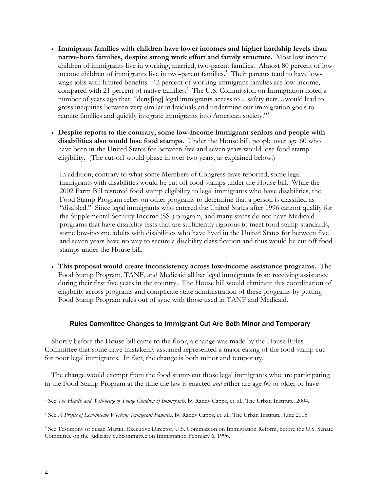- **Immigrant families with children have lower incomes and higher hardship levels than native-born families, despite strong work effort and family structure.** Most low-income children of immigrants live in working, married, two-parent families. Almost 80 percent of lowincome children of immigrants live in two-parent families.<sup>3</sup> Their parents tend to have lowwage jobs with limited benefits: 42 percent of working immigrant families are low-income, compared with 21 percent of native families.<sup>4</sup> The U.S. Commission on Immigration noted a number of years ago that, "deny[ing] legal immigrants access to…safety nets…would lead to gross inequities between very similar individuals and undermine our immigration goals to reunite families and quickly integrate immigrants into American society."<sup>5</sup>
- **Despite reports to the contrary, some low-income immigrant seniors and people with disabilities also would lose food stamps.** Under the House bill, people over age 60 who have been in the United States for between five and seven years would lose food stamp eligibility. (The cut-off would phase in over two years, as explained below.)

In addition, contrary to what some Members of Congress have reported, some legal immigrants with disabilities would be cut off food stamps under the House bill. While the 2002 Farm Bill restored food stamp eligibility to legal immigrants who have disabilities, the Food Stamp Program relies on other programs to determine that a person is classified as "disabled." Since legal immigrants who entered the United States after 1996 cannot qualify for the Supplemental Security Income (SSI) program, and many states do not have Medicaid programs that have disability tests that are sufficiently rigorous to meet food stamp standards, some low-income adults with disabilities who have lived in the United States for between five and seven years have no way to secure a disability classification and thus would be cut off food stamps under the House bill.

• **This proposal would create inconsistency across low-income assistance programs.** The Food Stamp Program, TANF, and Medicaid all bar legal immigrants from receiving assistance during their first five years in the country. The House bill would eliminate this coordination of eligibility across programs and complicate state administration of these programs by putting Food Stamp Program rules out of sync with those used in TANF and Medicaid.

## Rules Committee Changes to Immigrant Cut Are Both Minor and Temporary

Shortly before the House bill came to the floor, a change was made by the House Rules Committee that some have mistakenly assumed represented a major easing of the food stamp cut for poor legal immigrants. In fact, the change is both minor and temporary.

The change would exempt from the food stamp cut those legal immigrants who are participating in the Food Stamp Program at the time the law is enacted *and* either are age 60 or older or have

<sup>3</sup> See *The Health and Well-being of Young Children of Immigrants,* by Randy Capps, et. al., The Urban Institute, 2004.

<sup>4</sup> See *A Profile of Low-income Working Immigrant Families,* by Randy Capps, et. al., The Urban Institute, June 2005.

<sup>5</sup> See Testimony of Susan Martin, Executive Director, U.S. Commission on Immigration Reform, before the U.S. Senate Committee on the Judiciary Subcommittee on Immigration February 6, 1996.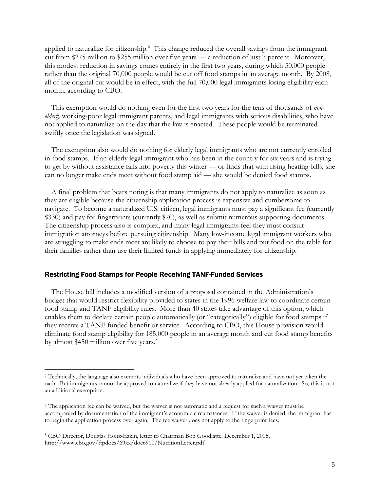applied to naturalize for citizenship.<sup>6</sup> This change reduced the overall savings from the immigrant cut from \$275 million to \$255 million over five years — a reduction of just 7 percent. Moreover, this modest reduction in savings comes entirely in the first two years, during which 50,000 people rather than the original 70,000 people would be cut off food stamps in an average month. By 2008, all of the original cut would be in effect, with the full 70,000 legal immigrants losing eligibility each month, according to CBO.

This exemption would do nothing even for the first two years for the tens of thousands of *nonelderly* working-poor legal immigrant parents, and legal immigrants with serious disabilities, who have not applied to naturalize on the day that the law is enacted. These people would be terminated swiftly once the legislation was signed.

The exemption also would do nothing for elderly legal immigrants who are not currently enrolled in food stamps. If an elderly legal immigrant who has been in the country for six years and is trying to get by without assistance falls into poverty this winter — or finds that with rising heating bills, she can no longer make ends meet without food stamp aid — she would be denied food stamps.

A final problem that bears noting is that many immigrants do not apply to naturalize as soon as they are eligible because the citizenship application process is expensive and cumbersome to navigate. To become a naturalized U.S. citizen, legal immigrants must pay a significant fee (currently \$330) and pay for fingerprints (currently \$70), as well as submit numerous supporting documents. The citizenship process also is complex, and many legal immigrants feel they must consult immigration attorneys before pursuing citizenship. Many low-income legal immigrant workers who are struggling to make ends meet are likely to choose to pay their bills and put food on the table for their families rather than use their limited funds in applying immediately for citizenship.<sup>7</sup>

## Restricting Food Stamps for People Receiving TANF-Funded Services

The House bill includes a modified version of a proposal contained in the Administration's budget that would restrict flexibility provided to states in the 1996 welfare law to coordinate certain food stamp and TANF eligibility rules. More than 40 states take advantage of this option, which enables them to declare certain people automatically (or "categorically") eligible for food stamps if they receive a TANF-funded benefit or service. According to CBO, this House provision would eliminate food stamp eligibility for 185,000 people in an average month and cut food stamp benefits by almost \$450 million over five years.<sup>8</sup>

<sup>6</sup> Technically, the language also exempts individuals who have been approved to naturalize and have not yet taken the oath. But immigrants cannot be approved to naturalize if they have not already applied for naturalization. So, this is not an additional exemption.

<sup>7</sup> The application fee can be waived, but the waiver is not automatic and a request for such a waiver must be accompanied by documentation of the immigrant's economic circumstances. If the waiver is denied, the immigrant has to begin the application process over again. The fee waiver does not apply to the fingerprint fees.

<sup>8</sup> CBO Director, Douglas Holtz-Eakin, letter to Chairman Bob Goodlatte, December 1, 2005, http://www.cbo.gov/ftpdocs/69xx/doc6910/NutritionLetter.pdf.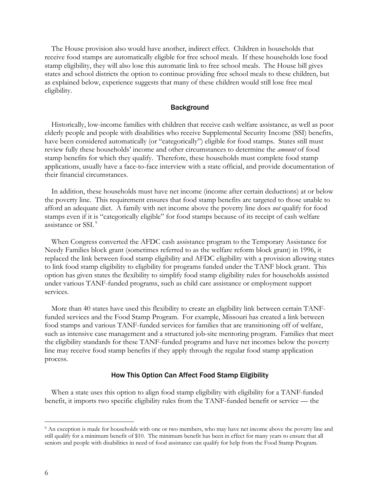The House provision also would have another, indirect effect. Children in households that receive food stamps are automatically eligible for free school meals. If these households lose food stamp eligibility, they will also lose this automatic link to free school meals. The House bill gives states and school districts the option to continue providing free school meals to these children, but as explained below, experience suggests that many of these children would still lose free meal eligibility.

#### **Background**

Historically, low-income families with children that receive cash welfare assistance, as well as poor elderly people and people with disabilities who receive Supplemental Security Income (SSI) benefits, have been considered automatically (or "categorically") eligible for food stamps. States still must review fully these households' income and other circumstances to determine the *amount* of food stamp benefits for which they qualify. Therefore, these households must complete food stamp applications, usually have a face-to-face interview with a state official, and provide documentation of their financial circumstances.

In addition, these households must have net income (income after certain deductions) at or below the poverty line. This requirement ensures that food stamp benefits are targeted to those unable to afford an adequate diet. A family with net income above the poverty line does *not* qualify for food stamps even if it is "categorically eligible" for food stamps because of its receipt of cash welfare assistance or SSI.<sup>9</sup>

When Congress converted the AFDC cash assistance program to the Temporary Assistance for Needy Families block grant (sometimes referred to as the welfare reform block grant) in 1996, it replaced the link between food stamp eligibility and AFDC eligibility with a provision allowing states to link food stamp eligibility to eligibility for programs funded under the TANF block grant. This option has given states the flexibility to simplify food stamp eligibility rules for households assisted under various TANF-funded programs, such as child care assistance or employment support services.

More than 40 states have used this flexibility to create an eligibility link between certain TANFfunded services and the Food Stamp Program. For example, Missouri has created a link between food stamps and various TANF-funded services for families that are transitioning off of welfare, such as intensive case management and a structured job-site mentoring program. Families that meet the eligibility standards for these TANF-funded programs and have net incomes below the poverty line may receive food stamp benefits if they apply through the regular food stamp application process.

#### How This Option Can Affect Food Stamp Eligibility

When a state uses this option to align food stamp eligibility with eligibility for a TANF-funded benefit, it imports two specific eligibility rules from the TANF-funded benefit or service — the

 $\overline{a}$ 

<sup>&</sup>lt;sup>9</sup> An exception is made for households with one or two members, who may have net income above the poverty line and still qualify for a minimum benefit of \$10. The minimum benefit has been in effect for many years to ensure that all seniors and people with disabilities in need of food assistance can qualify for help from the Food Stamp Program.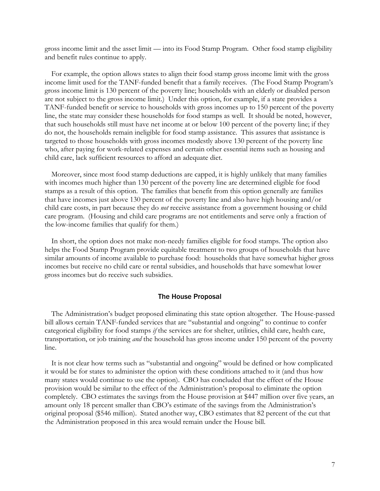gross income limit and the asset limit — into its Food Stamp Program. Other food stamp eligibility and benefit rules continue to apply.

For example, the option allows states to align their food stamp gross income limit with the gross income limit used for the TANF-funded benefit that a family receives. (The Food Stamp Program's gross income limit is 130 percent of the poverty line; households with an elderly or disabled person are not subject to the gross income limit.) Under this option, for example, if a state provides a TANF-funded benefit or service to households with gross incomes up to 150 percent of the poverty line, the state may consider these households for food stamps as well. It should be noted, however, that such households still must have net income at or below 100 percent of the poverty line; if they do not, the households remain ineligible for food stamp assistance. This assures that assistance is targeted to those households with gross incomes modestly above 130 percent of the poverty line who, after paying for work-related expenses and certain other essential items such as housing and child care, lack sufficient resources to afford an adequate diet.

Moreover, since most food stamp deductions are capped, it is highly unlikely that many families with incomes much higher than 130 percent of the poverty line are determined eligible for food stamps as a result of this option. The families that benefit from this option generally are families that have incomes just above 130 percent of the poverty line and also have high housing and/or child care costs, in part because they do *not* receive assistance from a government housing or child care program. (Housing and child care programs are not entitlements and serve only a fraction of the low-income families that qualify for them.)

In short, the option does not make non-needy families eligible for food stamps. The option also helps the Food Stamp Program provide equitable treatment to two groups of households that have similar amounts of income available to purchase food: households that have somewhat higher gross incomes but receive no child care or rental subsidies, and households that have somewhat lower gross incomes but do receive such subsidies.

#### The House Proposal

The Administration's budget proposed eliminating this state option altogether. The House-passed bill allows certain TANF-funded services that are "substantial and ongoing" to continue to confer categorical eligibility for food stamps *if* the services are for shelter, utilities, child care, health care, transportation, or job training *and* the household has gross income under 150 percent of the poverty line.

It is not clear how terms such as "substantial and ongoing" would be defined or how complicated it would be for states to administer the option with these conditions attached to it (and thus how many states would continue to use the option). CBO has concluded that the effect of the House provision would be similar to the effect of the Administration's proposal to eliminate the option completely. CBO estimates the savings from the House provision at \$447 million over five years, an amount only 18 percent smaller than CBO's estimate of the savings from the Administration's original proposal (\$546 million). Stated another way, CBO estimates that 82 percent of the cut that the Administration proposed in this area would remain under the House bill.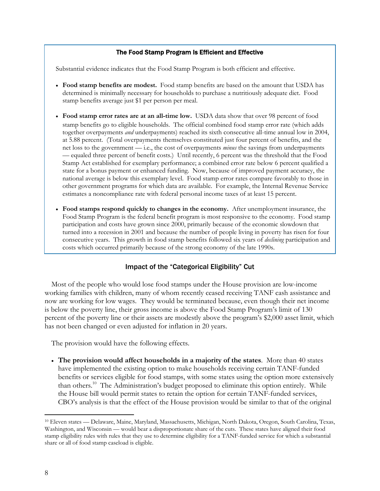## The Food Stamp Program Is Efficient and Effective

Substantial evidence indicates that the Food Stamp Program is both efficient and effective.

- **Food stamp benefits are modest.** Food stamp benefits are based on the amount that USDA has determined is minimally necessary for households to purchase a nutritiously adequate diet. Food stamp benefits average just \$1 per person per meal.
- **Food stamp error rates are at an all-time low.** USDA data show that over 98 percent of food stamp benefits go to eligible households. The official combined food stamp error rate (which adds together overpayments *and* underpayments) reached its sixth consecutive all-time annual low in 2004, at 5.88 percent. (Total overpayments themselves constituted just four percent of benefits, and the net loss to the government — i.e., the cost of overpayments *minus* the savings from underpayments — equaled three percent of benefit costs.) Until recently, 6 percent was the threshold that the Food Stamp Act established for exemplary performance; a combined error rate below 6 percent qualified a state for a bonus payment or enhanced funding. Now, because of improved payment accuracy, the national average is below this exemplary level. Food stamp error rates compare favorably to those in other government programs for which data are available. For example, the Internal Revenue Service estimates a noncompliance rate with federal personal income taxes of at least 15 percent.
- **Food stamps respond quickly to changes in the economy.** After unemployment insurance, the Food Stamp Program is the federal benefit program is most responsive to the economy. Food stamp participation and costs have grown since 2000, primarily because of the economic slowdown that turned into a recession in 2001 and because the number of people living in poverty has risen for four consecutive years. This growth in food stamp benefits followed six years of *declining* participation and costs which occurred primarily because of the strong economy of the late 1990s.

# Impact of the "Categorical Eligibility" Cut

Most of the people who would lose food stamps under the House provision are low-income working families with children, many of whom recently ceased receiving TANF cash assistance and now are working for low wages. They would be terminated because, even though their net income is below the poverty line, their gross income is above the Food Stamp Program's limit of 130 percent of the poverty line or their assets are modestly above the program's \$2,000 asset limit, which has not been changed or even adjusted for inflation in 20 years.

The provision would have the following effects.

• **The provision would affect households in a majority of the states**. More than 40 states have implemented the existing option to make households receiving certain TANF-funded benefits or services eligible for food stamps, with some states using the option more extensively than others.<sup>10</sup> The Administration's budget proposed to eliminate this option entirely. While the House bill would permit states to retain the option for certain TANF-funded services, CBO's analysis is that the effect of the House provision would be similar to that of the original

 $\overline{a}$ 

<sup>10</sup> Eleven states — Delaware, Maine, Maryland, Massachusetts, Michigan, North Dakota, Oregon, South Carolina, Texas, Washington, and Wisconsin — would bear a disproportionate share of the cuts. These states have aligned their food stamp eligibility rules with rules that they use to determine eligibility for a TANF-funded service for which a substantial share or all of food stamp caseload is eligible.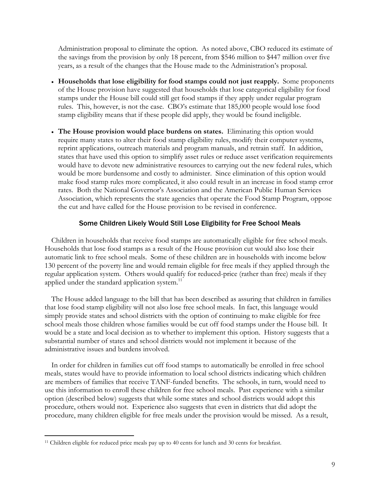Administration proposal to eliminate the option. As noted above, CBO reduced its estimate of the savings from the provision by only 18 percent, from \$546 million to \$447 million over five years, as a result of the changes that the House made to the Administration's proposal.

- **Households that lose eligibility for food stamps could not just reapply.** Some proponents of the House provision have suggested that households that lose categorical eligibility for food stamps under the House bill could still get food stamps if they apply under regular program rules. This, however, is not the case. CBO's estimate that 185,000 people would lose food stamp eligibility means that if these people did apply, they would be found ineligible.
- **The House provision would place burdens on states.** Eliminating this option would require many states to alter their food stamp eligibility rules, modify their computer systems, reprint applications, outreach materials and program manuals, and retrain staff. In addition, states that have used this option to simplify asset rules or reduce asset verification requirements would have to devote new administrative resources to carrying out the new federal rules, which would be more burdensome and costly to administer. Since elimination of this option would make food stamp rules more complicated, it also could result in an increase in food stamp error rates. Both the National Governor's Association and the American Public Human Services Association, which represents the state agencies that operate the Food Stamp Program, oppose the cut and have called for the House provision to be revised in conference.

## Some Children Likely Would Still Lose Eligibility for Free School Meals

Children in households that receive food stamps are automatically eligible for free school meals. Households that lose food stamps as a result of the House provision cut would also lose their automatic link to free school meals. Some of these children are in households with income below 130 percent of the poverty line and would remain eligible for free meals if they applied through the regular application system. Others would qualify for reduced-price (rather than free) meals if they applied under the standard application system.<sup>11</sup>

The House added language to the bill that has been described as assuring that children in families that lose food stamp eligibility will not also lose free school meals. In fact, this language would simply provide states and school districts with the option of continuing to make eligible for free school meals those children whose families would be cut off food stamps under the House bill. It would be a state and local decision as to whether to implement this option. History suggests that a substantial number of states and school districts would not implement it because of the administrative issues and burdens involved.

In order for children in families cut off food stamps to automatically be enrolled in free school meals, states would have to provide information to local school districts indicating which children are members of families that receive TANF-funded benefits. The schools, in turn, would need to use this information to enroll these children for free school meals. Past experience with a similar option (described below) suggests that while some states and school districts would adopt this procedure, others would not. Experience also suggests that even in districts that did adopt the procedure, many children eligible for free meals under the provision would be missed. As a result,

 $\overline{a}$ 

<sup>11</sup> Children eligible for reduced price meals pay up to 40 cents for lunch and 30 cents for breakfast.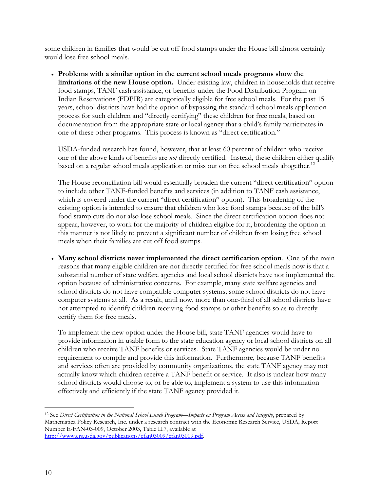some children in families that would be cut off food stamps under the House bill almost certainly would lose free school meals.

• **Problems with a similar option in the current school meals programs show the limitations of the new House option.** Under existing law, children in households that receive food stamps, TANF cash assistance, or benefits under the Food Distribution Program on Indian Reservations (FDPIR) are categorically eligible for free school meals. For the past 15 years, school districts have had the option of bypassing the standard school meals application process for such children and "directly certifying" these children for free meals, based on documentation from the appropriate state or local agency that a child's family participates in one of these other programs. This process is known as "direct certification."

USDA-funded research has found, however, that at least 60 percent of children who receive one of the above kinds of benefits are *not* directly certified. Instead, these children either qualify based on a regular school meals application or miss out on free school meals altogether.<sup>12</sup>

The House reconciliation bill would essentially broaden the current "direct certification" option to include other TANF-funded benefits and services (in addition to TANF cash assistance, which is covered under the current "direct certification" option). This broadening of the existing option is intended to ensure that children who lose food stamps because of the bill's food stamp cuts do not also lose school meals. Since the direct certification option does not appear, however, to work for the majority of children eligible for it, broadening the option in this manner is not likely to prevent a significant number of children from losing free school meals when their families are cut off food stamps.

• **Many school districts never implemented the direct certification option**. One of the main reasons that many eligible children are not directly certified for free school meals now is that a substantial number of state welfare agencies and local school districts have not implemented the option because of administrative concerns. For example, many state welfare agencies and school districts do not have compatible computer systems; some school districts do not have computer systems at all. As a result, until now, more than one-third of all school districts have not attempted to identify children receiving food stamps or other benefits so as to directly certify them for free meals.

To implement the new option under the House bill, state TANF agencies would have to provide information in usable form to the state education agency or local school districts on all children who receive TANF benefits or services. State TANF agencies would be under no requirement to compile and provide this information. Furthermore, because TANF benefits and services often are provided by community organizations, the state TANF agency may not actually know which children receive a TANF benefit or service. It also is unclear how many school districts would choose to, or be able to, implement a system to use this information effectively and efficiently if the state TANF agency provided it.

 $\overline{a}$ 12 See *Direct Certification in the National School Lunch Program—Impacts on Program Access and Integrity*, prepared by Mathematica Policy Research, Inc. under a research contract with the Economic Research Service, USDA, Report Number E-FAN-03-009, October 2003, Table II.7, available at http://www.ers.usda.gov/publications/efan03009/efan03009.pdf.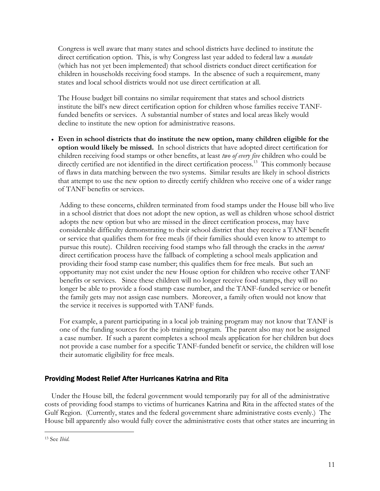Congress is well aware that many states and school districts have declined to institute the direct certification option. This, is why Congress last year added to federal law a *mandate* (which has not yet been implemented) that school districts conduct direct certification for children in households receiving food stamps. In the absence of such a requirement, many states and local school districts would not use direct certification at all.

The House budget bill contains no similar requirement that states and school districts institute the bill's new direct certification option for children whose families receive TANFfunded benefits or services. A substantial number of states and local areas likely would decline to institute the new option for administrative reasons.

• **Even in school districts that do institute the new option, many children eligible for the option would likely be missed.** In school districts that have adopted direct certification for children receiving food stamps or other benefits, at least *two of every five* children who could be directly certified are not identified in the direct certification process.<sup>13</sup> This commonly because of flaws in data matching between the two systems. Similar results are likely in school districts that attempt to use the new option to directly certify children who receive one of a wider range of TANF benefits or services.

Adding to these concerns, children terminated from food stamps under the House bill who live in a school district that does not adopt the new option, as well as children whose school district adopts the new option but who are missed in the direct certification process, may have considerable difficulty demonstrating to their school district that they receive a TANF benefit or service that qualifies them for free meals (if their families should even know to attempt to pursue this route). Children receiving food stamps who fall through the cracks in the *current* direct certification process have the fallback of completing a school meals application and providing their food stamp case number; this qualifies them for free meals. But such an opportunity may not exist under the new House option for children who receive other TANF benefits or services. Since these children will no longer receive food stamps, they will no longer be able to provide a food stamp case number, and the TANF-funded service or benefit the family gets may not assign case numbers. Moreover, a family often would not know that the service it receives is supported with TANF funds.

For example, a parent participating in a local job training program may not know that TANF is one of the funding sources for the job training program. The parent also may not be assigned a case number. If such a parent completes a school meals application for her children but does not provide a case number for a specific TANF-funded benefit or service, the children will lose their automatic eligibility for free meals.

# Providing Modest Relief After Hurricanes Katrina and Rita

Under the House bill, the federal government would temporarily pay for all of the administrative costs of providing food stamps to victims of hurricanes Katrina and Rita in the affected states of the Gulf Region. (Currently, states and the federal government share administrative costs evenly.) The House bill apparently also would fully cover the administrative costs that other states are incurring in

<sup>13</sup> See *Ibid*.